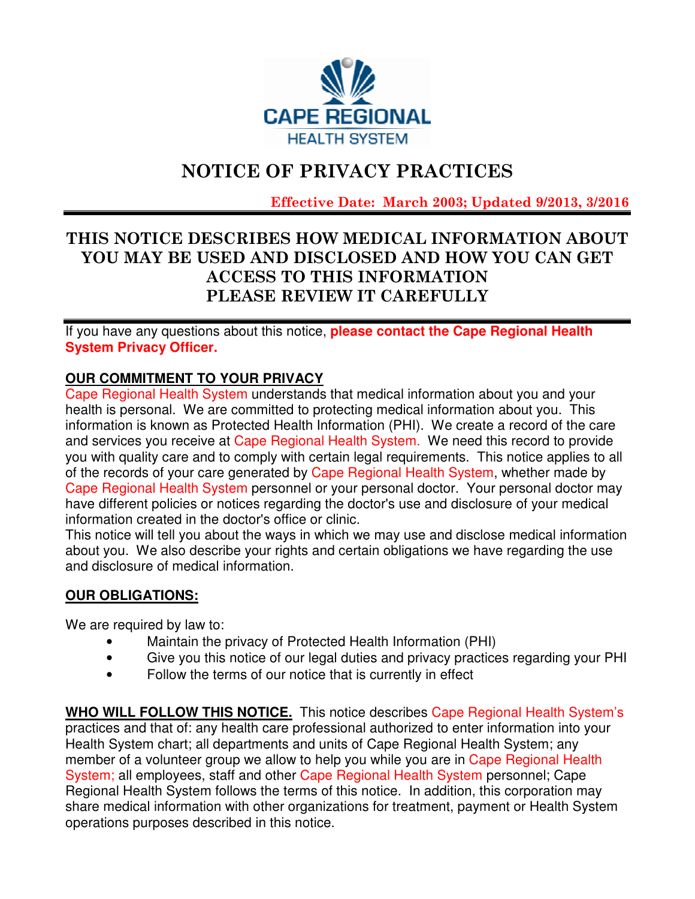

# NOTICE OF PRIVACY PRACTICES

Effective Date: March 2003; Updated 9/2013, 3/2016

## THIS NOTICE DESCRIBES HOW MEDICAL INFORMATION ABOUT YOU MAY BE USED AND DISCLOSED AND HOW YOU CAN GET ACCESS TO THIS INFORMATION PLEASE REVIEW IT CAREFULLY

If you have any questions about this notice, **please contact the Cape Regional Health System Privacy Officer.** 

### **OUR COMMITMENT TO YOUR PRIVACY**

Cape Regional Health System understands that medical information about you and your health is personal. We are committed to protecting medical information about you. This information is known as Protected Health Information (PHI). We create a record of the care and services you receive at Cape Regional Health System. We need this record to provide you with quality care and to comply with certain legal requirements. This notice applies to all of the records of your care generated by Cape Regional Health System, whether made by Cape Regional Health System personnel or your personal doctor. Your personal doctor may have different policies or notices regarding the doctor's use and disclosure of your medical information created in the doctor's office or clinic.

This notice will tell you about the ways in which we may use and disclose medical information about you. We also describe your rights and certain obligations we have regarding the use and disclosure of medical information.

#### **OUR OBLIGATIONS:**

We are required by law to:

- Maintain the privacy of Protected Health Information (PHI)
- Give you this notice of our legal duties and privacy practices regarding your PHI
- Follow the terms of our notice that is currently in effect

**WHO WILL FOLLOW THIS NOTICE.** This notice describes Cape Regional Health System's practices and that of: any health care professional authorized to enter information into your Health System chart; all departments and units of Cape Regional Health System; any member of a volunteer group we allow to help you while you are in Cape Regional Health System; all employees, staff and other Cape Regional Health System personnel; Cape Regional Health System follows the terms of this notice. In addition, this corporation may share medical information with other organizations for treatment, payment or Health System operations purposes described in this notice.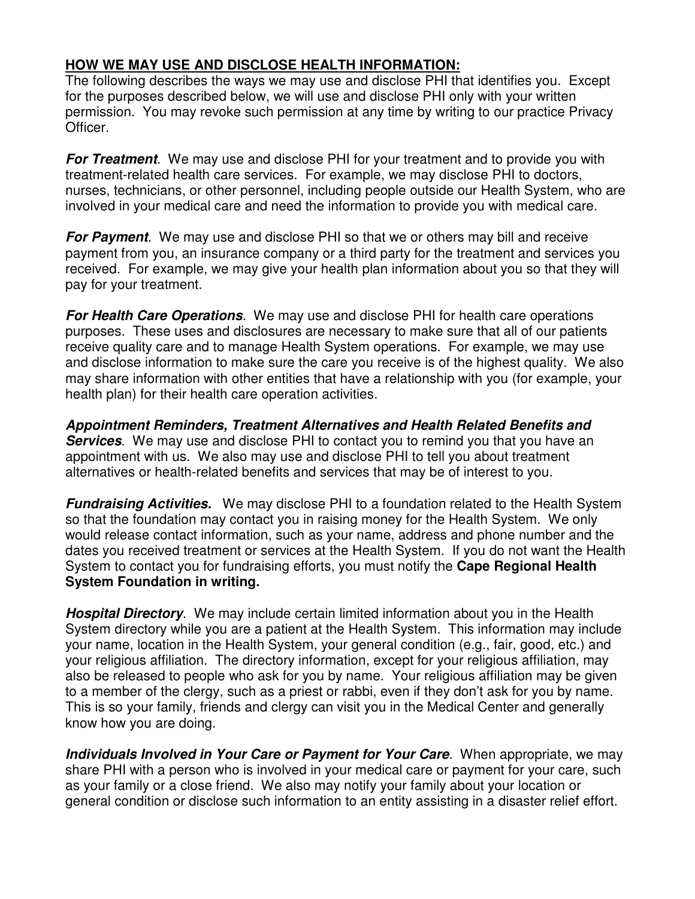#### **HOW WE MAY USE AND DISCLOSE HEALTH INFORMATION:**

The following describes the ways we may use and disclose PHI that identifies you. Except for the purposes described below, we will use and disclose PHI only with your written permission. You may revoke such permission at any time by writing to our practice Privacy Officer.

**For Treatment**. We may use and disclose PHI for your treatment and to provide you with treatment-related health care services. For example, we may disclose PHI to doctors, nurses, technicians, or other personnel, including people outside our Health System, who are involved in your medical care and need the information to provide you with medical care.

**For Payment**. We may use and disclose PHI so that we or others may bill and receive payment from you, an insurance company or a third party for the treatment and services you received. For example, we may give your health plan information about you so that they will pay for your treatment.

**For Health Care Operations**. We may use and disclose PHI for health care operations purposes. These uses and disclosures are necessary to make sure that all of our patients receive quality care and to manage Health System operations. For example, we may use and disclose information to make sure the care you receive is of the highest quality. We also may share information with other entities that have a relationship with you (for example, your health plan) for their health care operation activities.

**Appointment Reminders, Treatment Alternatives and Health Related Benefits and Services**. We may use and disclose PHI to contact you to remind you that you have an appointment with us. We also may use and disclose PHI to tell you about treatment alternatives or health-related benefits and services that may be of interest to you.

**Fundraising Activities.** We may disclose PHI to a foundation related to the Health System so that the foundation may contact you in raising money for the Health System. We only would release contact information, such as your name, address and phone number and the dates you received treatment or services at the Health System. If you do not want the Health System to contact you for fundraising efforts, you must notify the **Cape Regional Health System Foundation in writing.** 

**Hospital Directory**. We may include certain limited information about you in the Health System directory while you are a patient at the Health System. This information may include your name, location in the Health System, your general condition (e.g., fair, good, etc.) and your religious affiliation. The directory information, except for your religious affiliation, may also be released to people who ask for you by name. Your religious affiliation may be given to a member of the clergy, such as a priest or rabbi, even if they don't ask for you by name. This is so your family, friends and clergy can visit you in the Medical Center and generally know how you are doing.

**Individuals Involved in Your Care or Payment for Your Care**. When appropriate, we may share PHI with a person who is involved in your medical care or payment for your care, such as your family or a close friend. We also may notify your family about your location or general condition or disclose such information to an entity assisting in a disaster relief effort.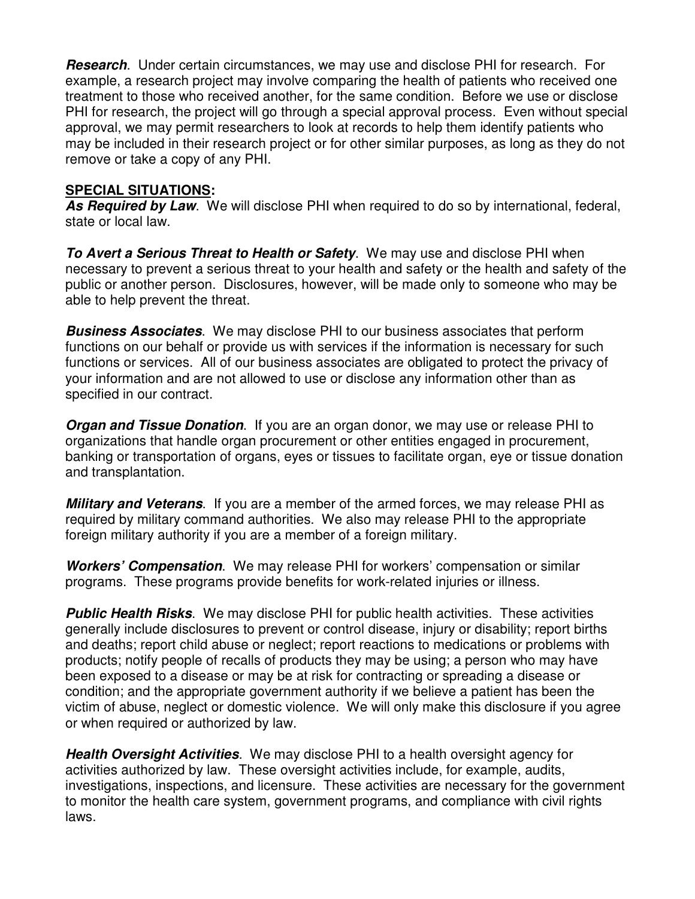**Research**. Under certain circumstances, we may use and disclose PHI for research. For example, a research project may involve comparing the health of patients who received one treatment to those who received another, for the same condition. Before we use or disclose PHI for research, the project will go through a special approval process. Even without special approval, we may permit researchers to look at records to help them identify patients who may be included in their research project or for other similar purposes, as long as they do not remove or take a copy of any PHI.

#### **SPECIAL SITUATIONS:**

As Required by Law. We will disclose PHI when required to do so by international, federal, state or local law.

**To Avert a Serious Threat to Health or Safety**. We may use and disclose PHI when necessary to prevent a serious threat to your health and safety or the health and safety of the public or another person. Disclosures, however, will be made only to someone who may be able to help prevent the threat.

**Business Associates**. We may disclose PHI to our business associates that perform functions on our behalf or provide us with services if the information is necessary for such functions or services. All of our business associates are obligated to protect the privacy of your information and are not allowed to use or disclose any information other than as specified in our contract.

**Organ and Tissue Donation**. If you are an organ donor, we may use or release PHI to organizations that handle organ procurement or other entities engaged in procurement, banking or transportation of organs, eyes or tissues to facilitate organ, eye or tissue donation and transplantation.

**Military and Veterans**. If you are a member of the armed forces, we may release PHI as required by military command authorities. We also may release PHI to the appropriate foreign military authority if you are a member of a foreign military.

**Workers' Compensation**. We may release PHI for workers' compensation or similar programs. These programs provide benefits for work-related injuries or illness.

**Public Health Risks**. We may disclose PHI for public health activities. These activities generally include disclosures to prevent or control disease, injury or disability; report births and deaths; report child abuse or neglect; report reactions to medications or problems with products; notify people of recalls of products they may be using; a person who may have been exposed to a disease or may be at risk for contracting or spreading a disease or condition; and the appropriate government authority if we believe a patient has been the victim of abuse, neglect or domestic violence. We will only make this disclosure if you agree or when required or authorized by law.

**Health Oversight Activities**. We may disclose PHI to a health oversight agency for activities authorized by law. These oversight activities include, for example, audits, investigations, inspections, and licensure. These activities are necessary for the government to monitor the health care system, government programs, and compliance with civil rights laws.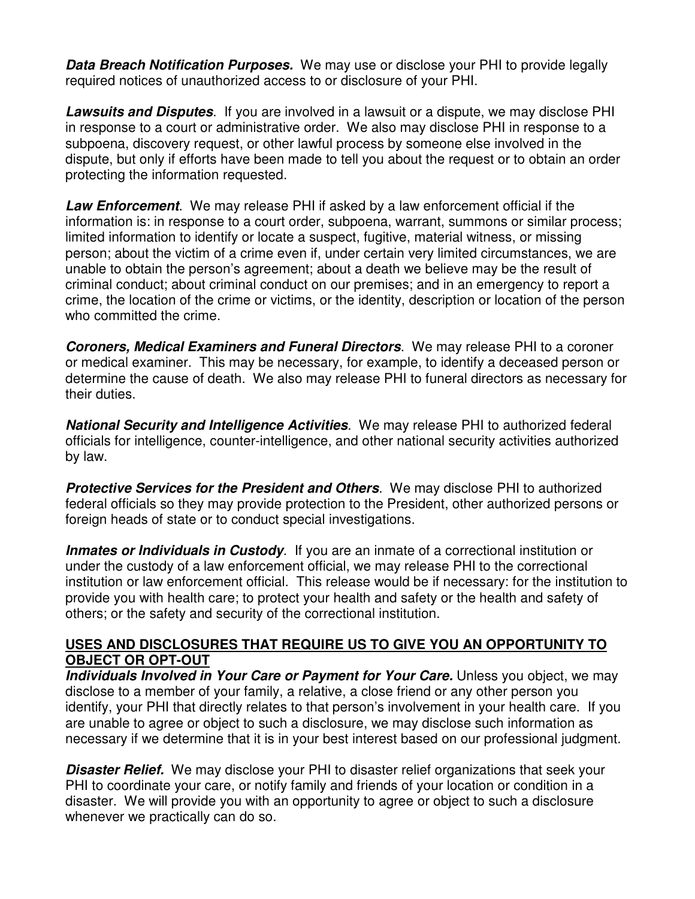**Data Breach Notification Purposes.** We may use or disclose your PHI to provide legally required notices of unauthorized access to or disclosure of your PHI.

**Lawsuits and Disputes**. If you are involved in a lawsuit or a dispute, we may disclose PHI in response to a court or administrative order. We also may disclose PHI in response to a subpoena, discovery request, or other lawful process by someone else involved in the dispute, but only if efforts have been made to tell you about the request or to obtain an order protecting the information requested.

**Law Enforcement**. We may release PHI if asked by a law enforcement official if the information is: in response to a court order, subpoena, warrant, summons or similar process; limited information to identify or locate a suspect, fugitive, material witness, or missing person; about the victim of a crime even if, under certain very limited circumstances, we are unable to obtain the person's agreement; about a death we believe may be the result of criminal conduct; about criminal conduct on our premises; and in an emergency to report a crime, the location of the crime or victims, or the identity, description or location of the person who committed the crime.

**Coroners, Medical Examiners and Funeral Directors**. We may release PHI to a coroner or medical examiner. This may be necessary, for example, to identify a deceased person or determine the cause of death. We also may release PHI to funeral directors as necessary for their duties.

**National Security and Intelligence Activities**. We may release PHI to authorized federal officials for intelligence, counter-intelligence, and other national security activities authorized by law.

**Protective Services for the President and Others.** We may disclose PHI to authorized federal officials so they may provide protection to the President, other authorized persons or foreign heads of state or to conduct special investigations.

**Inmates or Individuals in Custody**. If you are an inmate of a correctional institution or under the custody of a law enforcement official, we may release PHI to the correctional institution or law enforcement official. This release would be if necessary: for the institution to provide you with health care; to protect your health and safety or the health and safety of others; or the safety and security of the correctional institution.

#### **USES AND DISCLOSURES THAT REQUIRE US TO GIVE YOU AN OPPORTUNITY TO OBJECT OR OPT-OUT**

**Individuals Involved in Your Care or Payment for Your Care.** Unless you object, we may disclose to a member of your family, a relative, a close friend or any other person you identify, your PHI that directly relates to that person's involvement in your health care. If you are unable to agree or object to such a disclosure, we may disclose such information as necessary if we determine that it is in your best interest based on our professional judgment.

**Disaster Relief.** We may disclose your PHI to disaster relief organizations that seek your PHI to coordinate your care, or notify family and friends of your location or condition in a disaster. We will provide you with an opportunity to agree or object to such a disclosure whenever we practically can do so.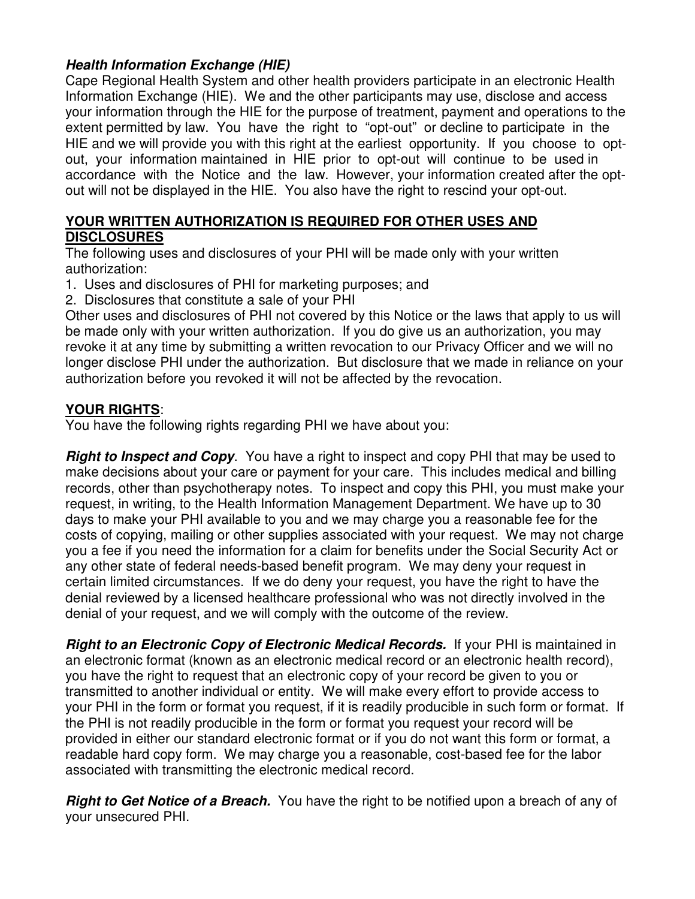#### **Health Information Exchange (HIE)**

Cape Regional Health System and other health providers participate in an electronic Health Information Exchange (HIE). We and the other participants may use, disclose and access your information through the HIE for the purpose of treatment, payment and operations to the extent permitted by law. You have the right to "opt-out" or decline to participate in the HIE and we will provide you with this right at the earliest opportunity. If you choose to optout, your information maintained in HIE prior to opt-out will continue to be used in accordance with the Notice and the law. However, your information created after the optout will not be displayed in the HIE. You also have the right to rescind your opt-out.

#### **YOUR WRITTEN AUTHORIZATION IS REQUIRED FOR OTHER USES AND DISCLOSURES**

The following uses and disclosures of your PHI will be made only with your written authorization:

- 1. Uses and disclosures of PHI for marketing purposes; and
- 2. Disclosures that constitute a sale of your PHI

Other uses and disclosures of PHI not covered by this Notice or the laws that apply to us will be made only with your written authorization. If you do give us an authorization, you may revoke it at any time by submitting a written revocation to our Privacy Officer and we will no longer disclose PHI under the authorization. But disclosure that we made in reliance on your authorization before you revoked it will not be affected by the revocation.

#### **YOUR RIGHTS**:

You have the following rights regarding PHI we have about you:

**Right to Inspect and Copy**. You have a right to inspect and copy PHI that may be used to make decisions about your care or payment for your care. This includes medical and billing records, other than psychotherapy notes. To inspect and copy this PHI, you must make your request, in writing, to the Health Information Management Department. We have up to 30 days to make your PHI available to you and we may charge you a reasonable fee for the costs of copying, mailing or other supplies associated with your request. We may not charge you a fee if you need the information for a claim for benefits under the Social Security Act or any other state of federal needs-based benefit program. We may deny your request in certain limited circumstances. If we do deny your request, you have the right to have the denial reviewed by a licensed healthcare professional who was not directly involved in the denial of your request, and we will comply with the outcome of the review.

**Right to an Electronic Copy of Electronic Medical Records.** If your PHI is maintained in an electronic format (known as an electronic medical record or an electronic health record), you have the right to request that an electronic copy of your record be given to you or transmitted to another individual or entity. We will make every effort to provide access to your PHI in the form or format you request, if it is readily producible in such form or format. If the PHI is not readily producible in the form or format you request your record will be provided in either our standard electronic format or if you do not want this form or format, a readable hard copy form. We may charge you a reasonable, cost-based fee for the labor associated with transmitting the electronic medical record.

**Right to Get Notice of a Breach.** You have the right to be notified upon a breach of any of your unsecured PHI.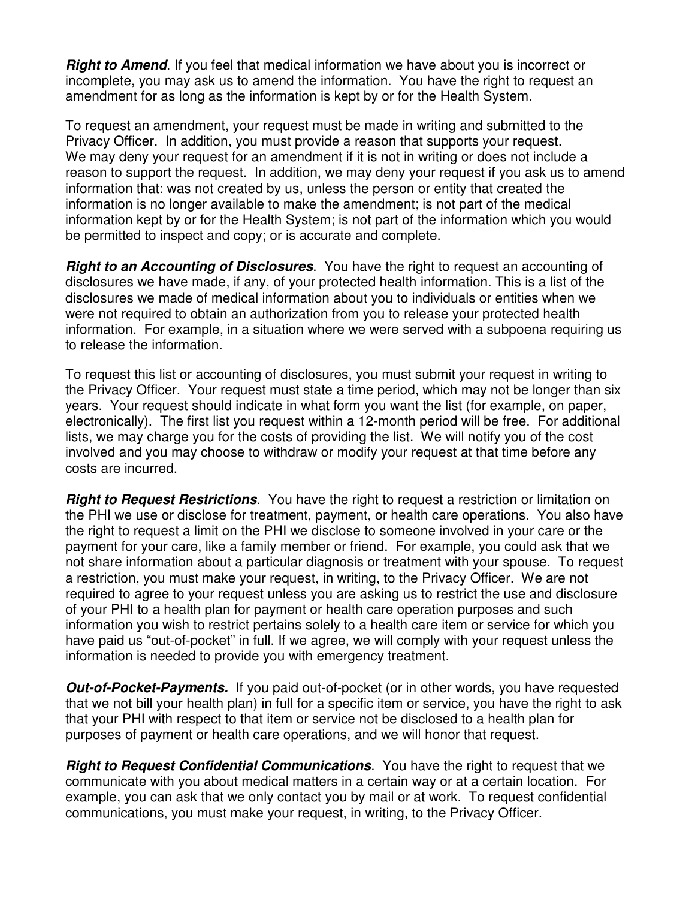**Right to Amend**. If you feel that medical information we have about you is incorrect or incomplete, you may ask us to amend the information. You have the right to request an amendment for as long as the information is kept by or for the Health System.

To request an amendment, your request must be made in writing and submitted to the Privacy Officer. In addition, you must provide a reason that supports your request. We may deny your request for an amendment if it is not in writing or does not include a reason to support the request. In addition, we may deny your request if you ask us to amend information that: was not created by us, unless the person or entity that created the information is no longer available to make the amendment; is not part of the medical information kept by or for the Health System; is not part of the information which you would be permitted to inspect and copy; or is accurate and complete.

**Right to an Accounting of Disclosures**. You have the right to request an accounting of disclosures we have made, if any, of your protected health information. This is a list of the disclosures we made of medical information about you to individuals or entities when we were not required to obtain an authorization from you to release your protected health information. For example, in a situation where we were served with a subpoena requiring us to release the information.

To request this list or accounting of disclosures, you must submit your request in writing to the Privacy Officer. Your request must state a time period, which may not be longer than six years. Your request should indicate in what form you want the list (for example, on paper, electronically). The first list you request within a 12-month period will be free. For additional lists, we may charge you for the costs of providing the list. We will notify you of the cost involved and you may choose to withdraw or modify your request at that time before any costs are incurred.

**Right to Request Restrictions**. You have the right to request a restriction or limitation on the PHI we use or disclose for treatment, payment, or health care operations. You also have the right to request a limit on the PHI we disclose to someone involved in your care or the payment for your care, like a family member or friend. For example, you could ask that we not share information about a particular diagnosis or treatment with your spouse. To request a restriction, you must make your request, in writing, to the Privacy Officer. We are not required to agree to your request unless you are asking us to restrict the use and disclosure of your PHI to a health plan for payment or health care operation purposes and such information you wish to restrict pertains solely to a health care item or service for which you have paid us "out-of-pocket" in full. If we agree, we will comply with your request unless the information is needed to provide you with emergency treatment.

*Out-of-Pocket-Payments.* If you paid out-of-pocket (or in other words, you have requested that we not bill your health plan) in full for a specific item or service, you have the right to ask that your PHI with respect to that item or service not be disclosed to a health plan for purposes of payment or health care operations, and we will honor that request.

**Right to Request Confidential Communications**. You have the right to request that we communicate with you about medical matters in a certain way or at a certain location. For example, you can ask that we only contact you by mail or at work. To request confidential communications, you must make your request, in writing, to the Privacy Officer.